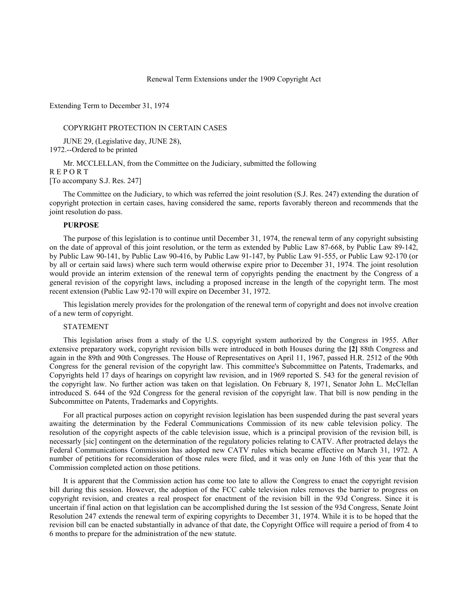Renewal Term Extensions under the 1909 Copyright Act

Extending Term to December 31, 1974

#### COPYRIGHT PROTECTION IN CERTAIN CASES

JUNE 29, (Legislative day, JUNE 28), 1972.--Ordered to be printed

Mr. MCCLELLAN, from the Committee on the Judiciary, submitted the following R E P O R T [To accompany S.J. Res. 247]

The Committee on the Judiciary, to which was referred the joint resolution (S.J. Res. 247) extending the duration of copyright protection in certain cases, having considered the same, reports favorably thereon and recommends that the joint resolution do pass.

#### **PURPOSE**

The purpose of this legislation is to continue until December 31, 1974, the renewal term of any copyright subsisting on the date of approval of this joint resolution, or the term as extended by Public Law 87-668, by Public Law 89-142, by Public Law 90-141, by Public Law 90-416, by Public Law 91-147, by Public Law 91-555, or Public Law 92-170 (or by all or certain said laws) where such term would otherwise expire prior to December 31, 1974. The joint resolution would provide an interim extension of the renewal term of copyrights pending the enactment by the Congress of a general revision of the copyright laws, including a proposed increase in the length of the copyright term. The most recent extension (Public Law 92-170 will expire on December 31, 1972.

This legislation merely provides for the prolongation of the renewal term of copyright and does not involve creation of a new term of copyright.

### STATEMENT

This legislation arises from a study of the U.S. copyright system authorized by the Congress in 1955. After extensive preparatory work, copyright revision bills were introduced in both Houses during the **[2]** 88th Congress and again in the 89th and 90th Congresses. The House of Representatives on April 11, 1967, passed H.R. 2512 of the 90th Congress for the general revision of the copyright law. This committee's Subcommittee on Patents, Trademarks, and Copyrights held 17 days of hearings on copyright law revision, and in 1969 reported S. 543 for the general revision of the copyright law. No further action was taken on that legislation. On February 8, 1971, Senator John L. McClellan introduced S. 644 of the 92d Congress for the general revision of the copyright law. That bill is now pending in the Subcommittee on Patents, Trademarks and Copyrights.

For all practical purposes action on copyright revision legislation has been suspended during the past several years awaiting the determination by the Federal Communications Commission of its new cable television policy. The resolution of the copyright aspects of the cable television issue, which is a principal provision of the revision bill, is necessarly [sic] contingent on the determination of the regulatory policies relating to CATV. After protracted delays the Federal Communications Commission has adopted new CATV rules which became effective on March 31, 1972. A number of petitions for reconsideration of those rules were filed, and it was only on June 16th of this year that the Commission completed action on those petitions.

It is apparent that the Commission action has come too late to allow the Congress to enact the copyright revision bill during this session. However, the adoption of the FCC cable television rules removes the barrier to progress on copyright revision, and creates a real prospect for enactment of the revision bill in the 93d Congress. Since it is uncertain if final action on that legislation can be accomplished during the 1st session of the 93d Congress, Senate Joint Resolution 247 extends the renewal term of expiring copyrights to December 31, 1974. While it is to be hoped that the revision bill can be enacted substantially in advance of that date, the Copyright Office will require a period of from 4 to 6 months to prepare for the administration of the new statute.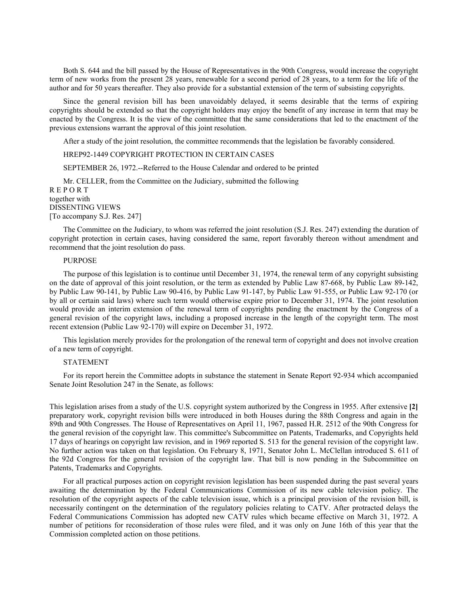Both S. 644 and the bill passed by the House of Representatives in the 90th Congress, would increase the copyright term of new works from the present 28 years, renewable for a second period of 28 years, to a term for the life of the author and for 50 years thereafter. They also provide for a substantial extension of the term of subsisting copyrights.

Since the general revision bill has been unavoidably delayed, it seems desirable that the terms of expiring copyrights should be extended so that the copyright holders may enjoy the benefit of any increase in term that may be enacted by the Congress. It is the view of the committee that the same considerations that led to the enactment of the previous extensions warrant the approval of this joint resolution.

After a study of the joint resolution, the committee recommends that the legislation be favorably considered.

# HREP92-1449 COPYRIGHT PROTECTION IN CERTAIN CASES

SEPTEMBER 26, 1972.--Referred to the House Calendar and ordered to be printed

Mr. CELLER, from the Committee on the Judiciary, submitted the following R E P O R T together with DISSENTING VIEWS [To accompany S.J. Res. 247]

The Committee on the Judiciary, to whom was referred the joint resolution (S.J. Res. 247) extending the duration of copyright protection in certain cases, having considered the same, report favorably thereon without amendment and recommend that the joint resolution do pass.

# PURPOSE

The purpose of this legislation is to continue until December 31, 1974, the renewal term of any copyright subsisting on the date of approval of this joint resolution, or the term as extended by Public Law 87-668, by Public Law 89-142, by Public Law 90-141, by Public Law 90-416, by Public Law 91-147, by Public Law 91-555, or Public Law 92-170 (or by all or certain said laws) where such term would otherwise expire prior to December 31, 1974. The joint resolution would provide an interim extension of the renewal term of copyrights pending the enactment by the Congress of a general revision of the copyright laws, including a proposed increase in the length of the copyright term. The most recent extension (Public Law 92-170) will expire on December 31, 1972.

This legislation merely provides for the prolongation of the renewal term of copyright and does not involve creation of a new term of copyright.

### STATEMENT

For its report herein the Committee adopts in substance the statement in Senate Report 92-934 which accompanied Senate Joint Resolution 247 in the Senate, as follows:

This legislation arises from a study of the U.S. copyright system authorized by the Congress in 1955. After extensive **[2]**  preparatory work, copyright revision bills were introduced in both Houses during the 88th Congress and again in the 89th and 90th Congresses. The House of Representatives on April 11, 1967, passed H.R. 2512 of the 90th Congress for the general revision of the copyright law. This committee's Subcommittee on Patents, Trademarks, and Copyrights held 17 days of hearings on copyright law revision, and in 1969 reported S. 513 for the general revision of the copyright law. No further action was taken on that legislation. On February 8, 1971, Senator John L. McClellan introduced S. 611 of the 92d Congress for the general revision of the copyright law. That bill is now pending in the Subcommittee on Patents, Trademarks and Copyrights.

For all practical purposes action on copyright revision legislation has been suspended during the past several years awaiting the determination by the Federal Communications Commission of its new cable television policy. The resolution of the copyright aspects of the cable television issue, which is a principal provision of the revision bill, is necessarily contingent on the determination of the regulatory policies relating to CATV. After protracted delays the Federal Communications Commission has adopted new CATV rules which became effective on March 31, 1972. A number of petitions for reconsideration of those rules were filed, and it was only on June 16th of this year that the Commission completed action on those petitions.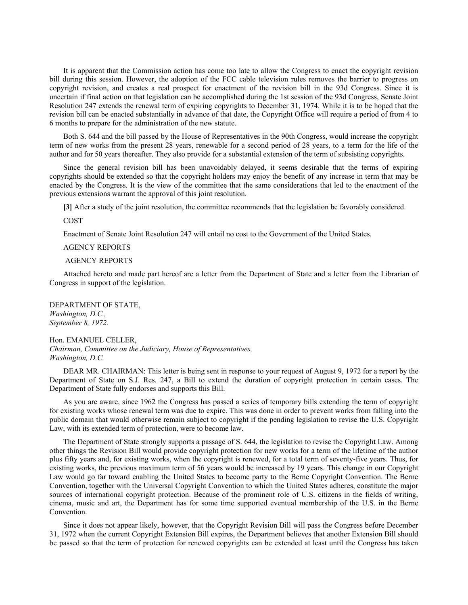It is apparent that the Commission action has come too late to allow the Congress to enact the copyright revision bill during this session. However, the adoption of the FCC cable television rules removes the barrier to progress on copyright revision, and creates a real prospect for enactment of the revision bill in the 93d Congress. Since it is uncertain if final action on that legislation can be accomplished during the 1st session of the 93d Congress, Senate Joint Resolution 247 extends the renewal term of expiring copyrights to December 31, 1974. While it is to be hoped that the revision bill can be enacted substantially in advance of that date, the Copyright Office will require a period of from 4 to 6 months to prepare for the administration of the new statute.

Both S. 644 and the bill passed by the House of Representatives in the 90th Congress, would increase the copyright term of new works from the present 28 years, renewable for a second period of 28 years, to a term for the life of the author and for 50 years thereafter. They also provide for a substantial extension of the term of subsisting copyrights.

Since the general revision bill has been unavoidably delayed, it seems desirable that the terms of expiring copyrights should be extended so that the copyright holders may enjoy the benefit of any increase in term that may be enacted by the Congress. It is the view of the committee that the same considerations that led to the enactment of the previous extensions warrant the approval of this joint resolution.

**[3]** After a study of the joint resolution, the committee recommends that the legislation be favorably considered.

COST

Enactment of Senate Joint Resolution 247 will entail no cost to the Government of the United States.

AGENCY REPORTS

### AGENCY REPORTS

Attached hereto and made part hereof are a letter from the Department of State and a letter from the Librarian of Congress in support of the legislation.

DEPARTMENT OF STATE, *Washington, D.C., September 8, 1972.*

Hon. EMANUEL CELLER, *Chairman, Committee on the Judiciary, House of Representatives, Washington, D.C.*

DEAR MR. CHAIRMAN: This letter is being sent in response to your request of August 9, 1972 for a report by the Department of State on S.J. Res. 247, a Bill to extend the duration of copyright protection in certain cases. The Department of State fully endorses and supports this Bill.

As you are aware, since 1962 the Congress has passed a series of temporary bills extending the term of copyright for existing works whose renewal term was due to expire. This was done in order to prevent works from falling into the public domain that would otherwise remain subject to copyright if the pending legislation to revise the U.S. Copyright Law, with its extended term of protection, were to become law.

The Department of State strongly supports a passage of S. 644, the legislation to revise the Copyright Law. Among other things the Revision Bill would provide copyright protection for new works for a term of the lifetime of the author plus fifty years and, for existing works, when the copyright is renewed, for a total term of seventy-five years. Thus, for existing works, the previous maximum term of 56 years would be increased by 19 years. This change in our Copyright Law would go far toward enabling the United States to become party to the Berne Copyright Convention. The Berne Convention, together with the Universal Copyright Convention to which the United States adheres, constitute the major sources of international copyright protection. Because of the prominent role of U.S. citizens in the fields of writing, cinema, music and art, the Department has for some time supported eventual membership of the U.S. in the Berne Convention.

Since it does not appear likely, however, that the Copyright Revision Bill will pass the Congress before December 31, 1972 when the current Copyright Extension Bill expires, the Department believes that another Extension Bill should be passed so that the term of protection for renewed copyrights can be extended at least until the Congress has taken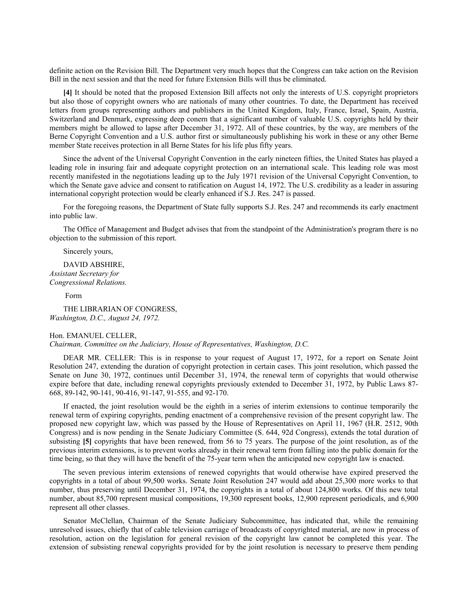definite action on the Revision Bill. The Department very much hopes that the Congress can take action on the Revision Bill in the next session and that the need for future Extension Bills will thus be eliminated.

**[4]** It should be noted that the proposed Extension Bill affects not only the interests of U.S. copyright proprietors but also those of copyright owners who are nationals of many other countries. To date, the Department has received letters from groups representing authors and publishers in the United Kingdom, Italy, France, Israel, Spain, Austria, Switzerland and Denmark, expressing deep conern that a significant number of valuable U.S. copyrights held by their members might be allowed to lapse after December 31, 1972. All of these countries, by the way, are members of the Berne Copyright Convention and a U.S. author first or simultaneously publishing his work in these or any other Berne member State receives protection in all Berne States for his life plus fifty years.

Since the advent of the Universal Copyright Convention in the early nineteen fifties, the United States has played a leading role in insuring fair and adequate copyright protection on an international scale. This leading role was most recently manifested in the negotiations leading up to the July 1971 revision of the Universal Copyright Convention, to which the Senate gave advice and consent to ratification on August 14, 1972. The U.S. credibility as a leader in assuring international copyright protection would be clearly enhanced if S.J. Res. 247 is passed.

For the foregoing reasons, the Department of State fully supports S.J. Res. 247 and recommends its early enactment into public law.

The Office of Management and Budget advises that from the standpoint of the Administration's program there is no objection to the submission of this report.

Sincerely yours,

DAVID ABSHIRE, *Assistant Secretary for Congressional Relations.*

Form

THE LIBRARIAN OF CONGRESS, *Washington, D.C., August 24, 1972.*

#### Hon. EMANUEL CELLER,

*Chairman, Committee on the Judiciary, House of Representatives, Washington, D.C.*

DEAR MR. CELLER: This is in response to your request of August 17, 1972, for a report on Senate Joint Resolution 247, extending the duration of copyright protection in certain cases. This joint resolution, which passed the Senate on June 30, 1972, continues until December 31, 1974, the renewal term of copyrights that would otherwise expire before that date, including renewal copyrights previously extended to December 31, 1972, by Public Laws 87- 668, 89-142, 90-141, 90-416, 91-147, 91-555, and 92-170.

If enacted, the joint resolution would be the eighth in a series of interim extensions to continue temporarily the renewal term of expiring copyrights, pending enactment of a comprehensive revision of the present copyright law. The proposed new copyright law, which was passed by the House of Representatives on April 11, 1967 (H.R. 2512, 90th Congress) and is now pending in the Senate Judiciary Committee (S. 644, 92d Congress), extends the total duration of subsisting **[5]** copyrights that have been renewed, from 56 to 75 years. The purpose of the joint resolution, as of the previous interim extensions, is to prevent works already in their renewal term from falling into the public domain for the time being, so that they will have the benefit of the 75-year term when the anticipated new copyright law is enacted.

The seven previous interim extensions of renewed copyrights that would otherwise have expired preserved the copyrights in a total of about 99,500 works. Senate Joint Resolution 247 would add about 25,300 more works to that number, thus preserving until December 31, 1974, the copyrights in a total of about 124,800 works. Of this new total number, about 85,700 represent musical compositions, 19,300 represent books, 12,900 represent periodicals, and 6,900 represent all other classes.

Senator McClellan, Chairman of the Senate Judiciary Subcommittee, has indicated that, while the remaining unresolved issues, chiefly that of cable television carriage of broadcasts of copyrighted material, are now in process of resolution, action on the legislation for general revision of the copyright law cannot be completed this year. The extension of subsisting renewal copyrights provided for by the joint resolution is necessary to preserve them pending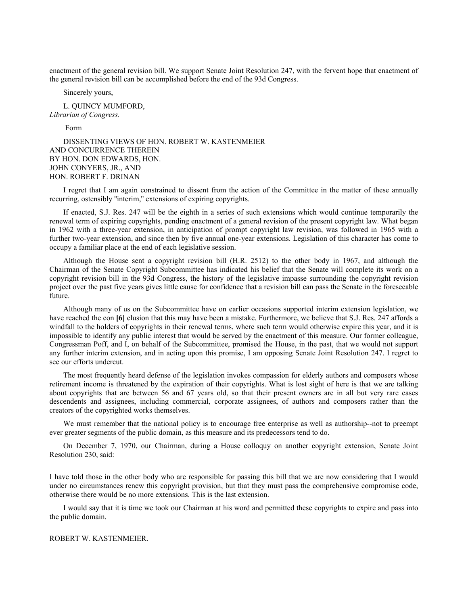enactment of the general revision bill. We support Senate Joint Resolution 247, with the fervent hope that enactment of the general revision bill can be accomplished before the end of the 93d Congress.

Sincerely yours,

L. QUINCY MUMFORD, *Librarian of Congress.*

Form

DISSENTING VIEWS OF HON. ROBERT W. KASTENMEIER AND CONCURRENCE THEREIN BY HON. DON EDWARDS, HON. JOHN CONYERS, JR., AND HON. ROBERT F. DRINAN

I regret that I am again constrained to dissent from the action of the Committee in the matter of these annually recurring, ostensibly ''interim,'' extensions of expiring copyrights.

If enacted, S.J. Res. 247 will be the eighth in a series of such extensions which would continue temporarily the renewal term of expiring copyrights, pending enactment of a general revision of the present copyright law. What began in 1962 with a three-year extension, in anticipation of prompt copyright law revision, was followed in 1965 with a further two-year extension, and since then by five annual one-year extensions. Legislation of this character has come to occupy a familiar place at the end of each legislative session.

Although the House sent a copyright revision bill (H.R. 2512) to the other body in 1967, and although the Chairman of the Senate Copyright Subcommittee has indicated his belief that the Senate will complete its work on a copyright revision bill in the 93d Congress, the history of the legislative impasse surrounding the copyright revision project over the past five years gives little cause for confidence that a revision bill can pass the Senate in the foreseeable future.

Although many of us on the Subcommittee have on earlier occasions supported interim extension legislation, we have reached the con **[6]** clusion that this may have been a mistake. Furthermore, we believe that S.J. Res. 247 affords a windfall to the holders of copyrights in their renewal terms, where such term would otherwise expire this year, and it is impossible to identify any public interest that would be served by the enactment of this measure. Our former colleague, Congressman Poff, and I, on behalf of the Subcommittee, promised the House, in the past, that we would not support any further interim extension, and in acting upon this promise, I am opposing Senate Joint Resolution 247. I regret to see our efforts undercut.

The most frequently heard defense of the legislation invokes compassion for elderly authors and composers whose retirement income is threatened by the expiration of their copyrights. What is lost sight of here is that we are talking about copyrights that are between 56 and 67 years old, so that their present owners are in all but very rare cases descendents and assignees, including commercial, corporate assignees, of authors and composers rather than the creators of the copyrighted works themselves.

We must remember that the national policy is to encourage free enterprise as well as authorship--not to preempt ever greater segments of the public domain, as this measure and its predecessors tend to do.

On December 7, 1970, our Chairman, during a House colloquy on another copyright extension, Senate Joint Resolution 230, said:

I have told those in the other body who are responsible for passing this bill that we are now considering that I would under no circumstances renew this copyright provision, but that they must pass the comprehensive compromise code, otherwise there would be no more extensions. This is the last extension.

I would say that it is time we took our Chairman at his word and permitted these copyrights to expire and pass into the public domain.

# ROBERT W. KASTENMEIER.